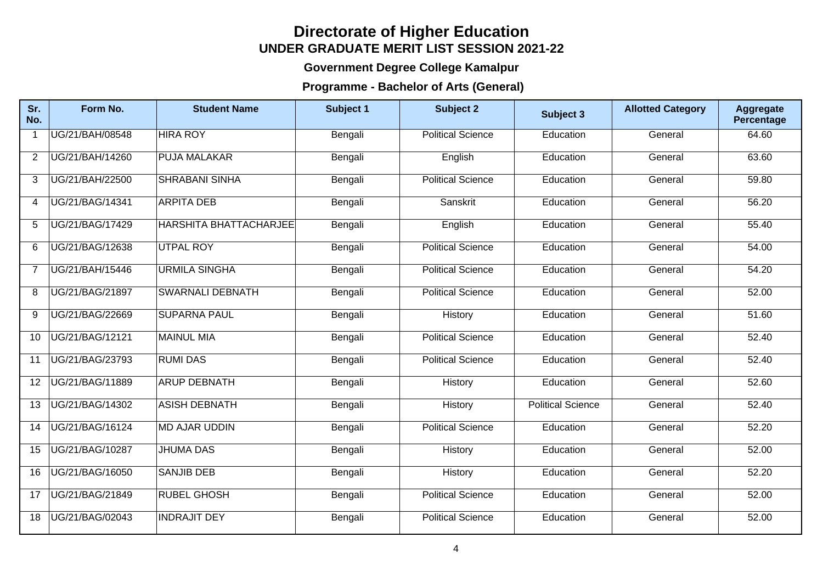## **Directorate of Higher Education UNDER GRADUATE MERIT LIST SESSION 2021-22**

## **Government Degree College Kamalpur**

## **Programme - Bachelor of Arts (General)**

| Sr.<br>No.              | Form No.        | <b>Student Name</b>           | Subject 1 | <b>Subject 2</b>         | Subject 3                | <b>Allotted Category</b> | <b>Aggregate</b><br>Percentage |
|-------------------------|-----------------|-------------------------------|-----------|--------------------------|--------------------------|--------------------------|--------------------------------|
| $\overline{\mathbf{1}}$ | UG/21/BAH/08548 | <b>HIRA ROY</b>               | Bengali   | <b>Political Science</b> | Education                | General                  | 64.60                          |
| $\overline{2}$          | UG/21/BAH/14260 | <b>PUJA MALAKAR</b>           | Bengali   | English                  | Education                | General                  | 63.60                          |
| 3                       | UG/21/BAH/22500 | <b>SHRABANI SINHA</b>         | Bengali   | <b>Political Science</b> | Education                | General                  | 59.80                          |
| 4                       | UG/21/BAG/14341 | <b>ARPITA DEB</b>             | Bengali   | Sanskrit                 | Education                | General                  | 56.20                          |
| 5                       | UG/21/BAG/17429 | <b>HARSHITA BHATTACHARJEE</b> | Bengali   | English                  | Education                | General                  | 55.40                          |
| 6                       | UG/21/BAG/12638 | UTPAL ROY                     | Bengali   | <b>Political Science</b> | Education                | General                  | 54.00                          |
| $\overline{7}$          | UG/21/BAH/15446 | <b>URMILA SINGHA</b>          | Bengali   | <b>Political Science</b> | Education                | General                  | 54.20                          |
| 8                       | UG/21/BAG/21897 | <b>SWARNALI DEBNATH</b>       | Bengali   | <b>Political Science</b> | Education                | General                  | 52.00                          |
| 9                       | UG/21/BAG/22669 | <b>SUPARNA PAUL</b>           | Bengali   | History                  | Education                | General                  | 51.60                          |
| 10                      | UG/21/BAG/12121 | MAINUL MIA                    | Bengali   | <b>Political Science</b> | Education                | General                  | 52.40                          |
| 11                      | UG/21/BAG/23793 | <b>RUMI DAS</b>               | Bengali   | <b>Political Science</b> | Education                | General                  | 52.40                          |
| 12                      | UG/21/BAG/11889 | <b>ARUP DEBNATH</b>           | Bengali   | History                  | Education                | General                  | 52.60                          |
| 13                      | UG/21/BAG/14302 | ASISH DEBNATH                 | Bengali   | History                  | <b>Political Science</b> | General                  | 52.40                          |
| 14                      | UG/21/BAG/16124 | <b>MD AJAR UDDIN</b>          | Bengali   | <b>Political Science</b> | Education                | General                  | 52.20                          |
| 15                      | UG/21/BAG/10287 | <b>JHUMA DAS</b>              | Bengali   | History                  | Education                | General                  | 52.00                          |
| 16                      | UG/21/BAG/16050 | <b>SANJIB DEB</b>             | Bengali   | History                  | Education                | General                  | 52.20                          |
| 17                      | UG/21/BAG/21849 | <b>RUBEL GHOSH</b>            | Bengali   | <b>Political Science</b> | Education                | General                  | 52.00                          |
| 18                      | UG/21/BAG/02043 | <b>INDRAJIT DEY</b>           | Bengali   | <b>Political Science</b> | Education                | General                  | 52.00                          |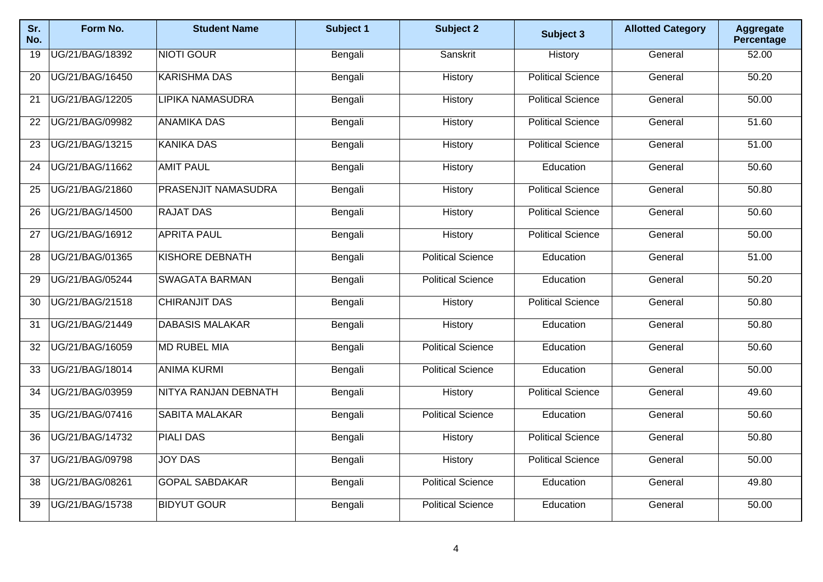| Sr.<br>No.      | Form No.        | <b>Student Name</b>         | Subject 1 | <b>Subject 2</b>         | Subject 3                | <b>Allotted Category</b> | <b>Aggregate</b><br>Percentage |
|-----------------|-----------------|-----------------------------|-----------|--------------------------|--------------------------|--------------------------|--------------------------------|
| 19              | UG/21/BAG/18392 | <b>NIOTI GOUR</b>           | Bengali   | Sanskrit                 | <b>History</b>           | General                  | 52.00                          |
| $\overline{20}$ | UG/21/BAG/16450 | <b>KARISHMA DAS</b>         | Bengali   | History                  | <b>Political Science</b> | General                  | 50.20                          |
| 21              | UG/21/BAG/12205 | <b>LIPIKA NAMASUDRA</b>     | Bengali   | History                  | <b>Political Science</b> | General                  | 50.00                          |
| 22              | UG/21/BAG/09982 | <b>ANAMIKA DAS</b>          | Bengali   | History                  | <b>Political Science</b> | General                  | 51.60                          |
| $\overline{23}$ | UG/21/BAG/13215 | <b>KANIKA DAS</b>           | Bengali   | History                  | <b>Political Science</b> | General                  | 51.00                          |
| 24              | UG/21/BAG/11662 | <b>AMIT PAUL</b>            | Bengali   | History                  | Education                | General                  | 50.60                          |
| 25              | UG/21/BAG/21860 | PRASENJIT NAMASUDRA         | Bengali   | History                  | <b>Political Science</b> | General                  | 50.80                          |
| 26              | UG/21/BAG/14500 | <b>RAJAT DAS</b>            | Bengali   | History                  | <b>Political Science</b> | General                  | 50.60                          |
| 27              | UG/21/BAG/16912 | <b>APRITA PAUL</b>          | Bengali   | History                  | <b>Political Science</b> | General                  | 50.00                          |
| 28              | UG/21/BAG/01365 | <b>KISHORE DEBNATH</b>      | Bengali   | <b>Political Science</b> | Education                | General                  | 51.00                          |
| 29              | UG/21/BAG/05244 | <b>SWAGATA BARMAN</b>       | Bengali   | <b>Political Science</b> | Education                | General                  | 50.20                          |
| 30              | UG/21/BAG/21518 | <b>CHIRANJIT DAS</b>        | Bengali   | History                  | <b>Political Science</b> | General                  | 50.80                          |
| $\overline{31}$ | UG/21/BAG/21449 | <b>DABASIS MALAKAR</b>      | Bengali   | History                  | Education                | General                  | 50.80                          |
| 32              | UG/21/BAG/16059 | <b>MD RUBEL MIA</b>         | Bengali   | <b>Political Science</b> | Education                | General                  | 50.60                          |
| 33              | UG/21/BAG/18014 | <b>ANIMA KURMI</b>          | Bengali   | <b>Political Science</b> | Education                | General                  | 50.00                          |
| 34              | UG/21/BAG/03959 | <b>NITYA RANJAN DEBNATH</b> | Bengali   | History                  | <b>Political Science</b> | General                  | 49.60                          |
| 35              | UG/21/BAG/07416 | <b>SABITA MALAKAR</b>       | Bengali   | <b>Political Science</b> | Education                | General                  | 50.60                          |
| 36              | UG/21/BAG/14732 | <b>PIALI DAS</b>            | Bengali   | History                  | <b>Political Science</b> | General                  | 50.80                          |
| 37              | UG/21/BAG/09798 | <b>JOY DAS</b>              | Bengali   | History                  | <b>Political Science</b> | General                  | 50.00                          |
| 38              | UG/21/BAG/08261 | <b>GOPAL SABDAKAR</b>       | Bengali   | <b>Political Science</b> | Education                | General                  | 49.80                          |
| 39              | UG/21/BAG/15738 | <b>BIDYUT GOUR</b>          | Bengali   | <b>Political Science</b> | Education                | General                  | 50.00                          |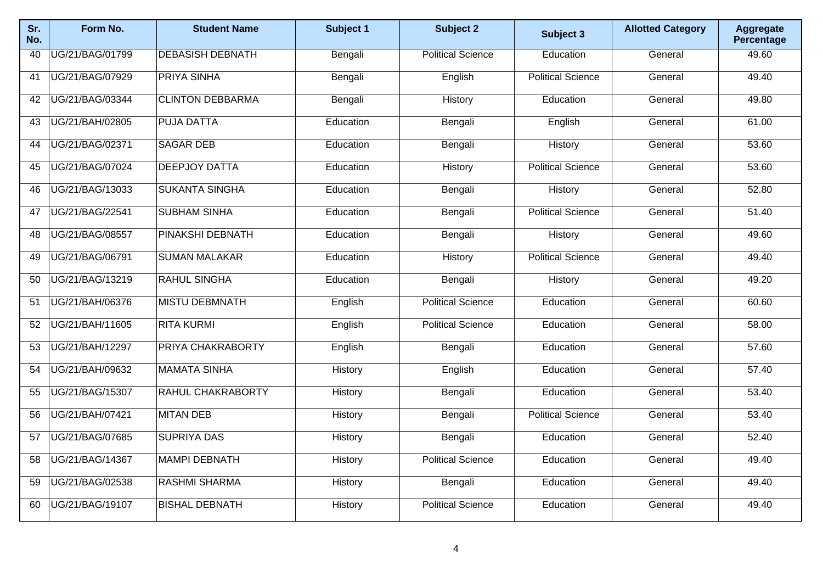| Sr.<br>No. | Form No.        | <b>Student Name</b>     | Subject 1 | Subject 2                | Subject 3                | <b>Allotted Category</b> | <b>Aggregate</b><br>Percentage |
|------------|-----------------|-------------------------|-----------|--------------------------|--------------------------|--------------------------|--------------------------------|
| 40         | UG/21/BAG/01799 | <b>DEBASISH DEBNATH</b> | Bengali   | <b>Political Science</b> | Education                | General                  | 49.60                          |
| 41         | UG/21/BAG/07929 | <b>PRIYA SINHA</b>      | Bengali   | English                  | <b>Political Science</b> | General                  | 49.40                          |
| 42         | UG/21/BAG/03344 | <b>CLINTON DEBBARMA</b> | Bengali   | <b>History</b>           | Education                | General                  | 49.80                          |
| 43         | UG/21/BAH/02805 | <b>PUJA DATTA</b>       | Education | Bengali                  | English                  | General                  | 61.00                          |
| 44         | UG/21/BAG/02371 | <b>SAGAR DEB</b>        | Education | Bengali                  | History                  | General                  | 53.60                          |
| 45         | UG/21/BAG/07024 | <b>DEEPJOY DATTA</b>    | Education | History                  | <b>Political Science</b> | General                  | 53.60                          |
| 46         | UG/21/BAG/13033 | <b>SUKANTA SINGHA</b>   | Education | Bengali                  | History                  | General                  | 52.80                          |
| 47         | UG/21/BAG/22541 | <b>SUBHAM SINHA</b>     | Education | Bengali                  | <b>Political Science</b> | General                  | 51.40                          |
| 48         | UG/21/BAG/08557 | <b>PINAKSHI DEBNATH</b> | Education | Bengali                  | History                  | General                  | 49.60                          |
| 49         | UG/21/BAG/06791 | <b>SUMAN MALAKAR</b>    | Education | History                  | <b>Political Science</b> | General                  | 49.40                          |
| 50         | UG/21/BAG/13219 | <b>RAHUL SINGHA</b>     | Education | Bengali                  | History                  | General                  | 49.20                          |
| 51         | UG/21/BAH/06376 | <b>MISTU DEBMNATH</b>   | English   | <b>Political Science</b> | Education                | General                  | 60.60                          |
| 52         | UG/21/BAH/11605 | <b>RITA KURMI</b>       | English   | <b>Political Science</b> | Education                | General                  | 58.00                          |
| 53         | UG/21/BAH/12297 | PRIYA CHAKRABORTY       | English   | Bengali                  | Education                | General                  | 57.60                          |
| 54         | UG/21/BAH/09632 | <b>MAMATA SINHA</b>     | History   | English                  | Education                | General                  | 57.40                          |
| 55         | UG/21/BAG/15307 | RAHUL CHAKRABORTY       | History   | Bengali                  | Education                | General                  | 53.40                          |
| 56         | UG/21/BAH/07421 | <b>MITAN DEB</b>        | History   | Bengali                  | <b>Political Science</b> | General                  | 53.40                          |
| 57         | UG/21/BAG/07685 | <b>SUPRIYA DAS</b>      | History   | Bengali                  | Education                | General                  | 52.40                          |
| 58         | UG/21/BAG/14367 | MAMPI DEBNATH           | History   | <b>Political Science</b> | Education                | General                  | 49.40                          |
| 59         | UG/21/BAG/02538 | <b>RASHMI SHARMA</b>    | History   | Bengali                  | Education                | General                  | 49.40                          |
| 60         | UG/21/BAG/19107 | <b>BISHAL DEBNATH</b>   | History   | <b>Political Science</b> | Education                | General                  | 49.40                          |